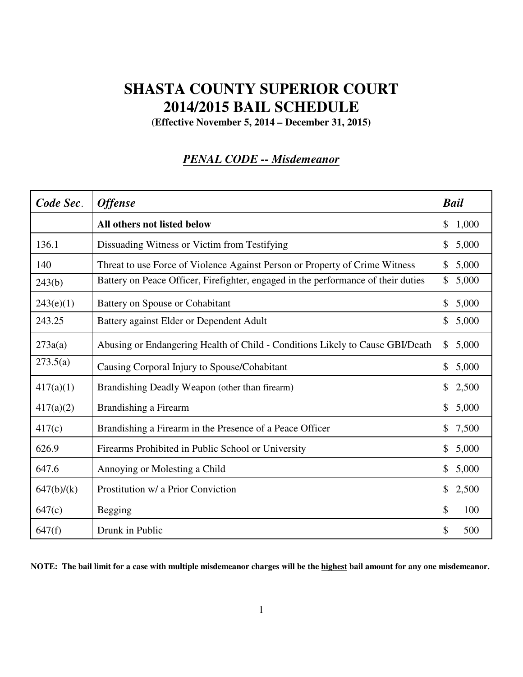# **SHASTA COUNTY SUPERIOR COURT 2014/2015 BAIL SCHEDULE**

**(Effective November 5, 2014 – December 31, 2015)** 

#### *PENAL CODE -- Misdemeanor*

| Code Sec.  | <b>Offense</b>                                                                    | <b>Bail</b>           |
|------------|-----------------------------------------------------------------------------------|-----------------------|
|            | All others not listed below                                                       | 1,000<br>\$           |
| 136.1      | Dissuading Witness or Victim from Testifying                                      | 5,000<br>\$           |
| 140        | Threat to use Force of Violence Against Person or Property of Crime Witness       | 5,000<br>\$           |
| 243(b)     | Battery on Peace Officer, Firefighter, engaged in the performance of their duties | \$<br>5,000           |
| 243(e)(1)  | Battery on Spouse or Cohabitant                                                   | \$<br>5,000           |
| 243.25     | Battery against Elder or Dependent Adult                                          | \$<br>5,000           |
| 273a(a)    | Abusing or Endangering Health of Child - Conditions Likely to Cause GBI/Death     | 5,000<br>\$           |
| 273.5(a)   | Causing Corporal Injury to Spouse/Cohabitant                                      | $\mathbb{S}$<br>5,000 |
| 417(a)(1)  | Brandishing Deadly Weapon (other than firearm)                                    | \$<br>2,500           |
| 417(a)(2)  | Brandishing a Firearm                                                             | 5,000<br>$\mathbb{S}$ |
| 417(c)     | Brandishing a Firearm in the Presence of a Peace Officer                          | 7,500<br>$\mathbb{S}$ |
| 626.9      | Firearms Prohibited in Public School or University                                | \$<br>5,000           |
| 647.6      | Annoying or Molesting a Child                                                     | 5,000<br>\$           |
| 647(b)/(k) | Prostitution w/ a Prior Conviction                                                | \$<br>2,500           |
| 647(c)     | <b>Begging</b>                                                                    | \$<br>100             |
| 647(f)     | Drunk in Public                                                                   | \$<br>500             |

**NOTE: The bail limit for a case with multiple misdemeanor charges will be the highest bail amount for any one misdemeanor.**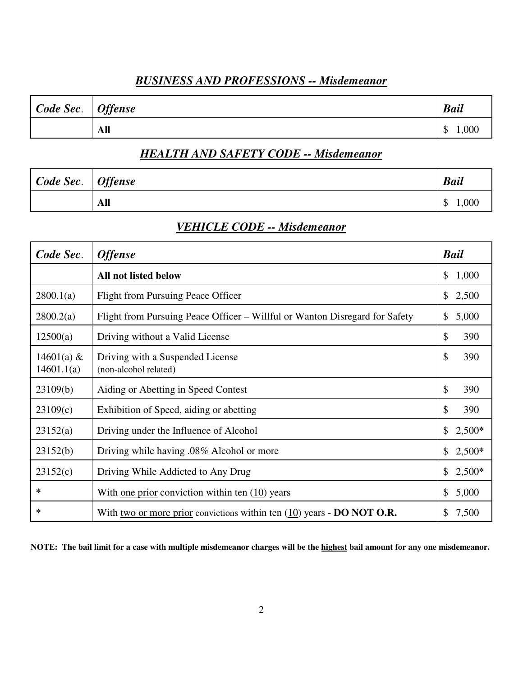#### *BUSINESS AND PROFESSIONS -- Misdemeanor*

| Code Sec.   Offense |     | <b>Bail</b>      |
|---------------------|-----|------------------|
|                     | All | 000,1<br>╓<br>۰D |

# *HEALTH AND SAFETY CODE -- Misdemeanor*

| Code Sec.   Offense |     | <b>Bail</b> |
|---------------------|-----|-------------|
|                     | All | 1,000<br>◡  |

#### *VEHICLE CODE -- Misdemeanor*

| Code Sec.                  | <b>Offense</b>                                                                  | <b>Bail</b>              |
|----------------------------|---------------------------------------------------------------------------------|--------------------------|
|                            | <b>All not listed below</b>                                                     | 1,000<br><sup>S</sup>    |
| 2800.1(a)                  | <b>Flight from Pursuing Peace Officer</b>                                       | 2,500<br>\$              |
| 2800.2(a)                  | Flight from Pursuing Peace Officer – Willful or Wanton Disregard for Safety     | \$<br>5,000              |
| 12500(a)                   | Driving without a Valid License                                                 | \$<br>390                |
| 14601(a) $&$<br>14601.1(a) | Driving with a Suspended License<br>(non-alcohol related)                       | \$<br>390                |
| 23109(b)                   | Aiding or Abetting in Speed Contest                                             | \$<br>390                |
| 23109(c)                   | Exhibition of Speed, aiding or abetting                                         | \$<br>390                |
| 23152(a)                   | Driving under the Influence of Alcohol                                          | $\mathbb{S}$<br>$2,500*$ |
| 23152(b)                   | Driving while having .08% Alcohol or more                                       | $2,500*$<br>\$           |
| 23152(c)                   | Driving While Addicted to Any Drug                                              | $2,500*$<br>$\mathbb{S}$ |
| ∗                          | With one prior conviction within ten (10) years                                 | 5,000<br>$\mathbb{S}$    |
| ∗                          | With two or more prior convictions within ten $(10)$ years - <b>DO NOT O.R.</b> | \$<br>7,500              |

**NOTE: The bail limit for a case with multiple misdemeanor charges will be the highest bail amount for any one misdemeanor.**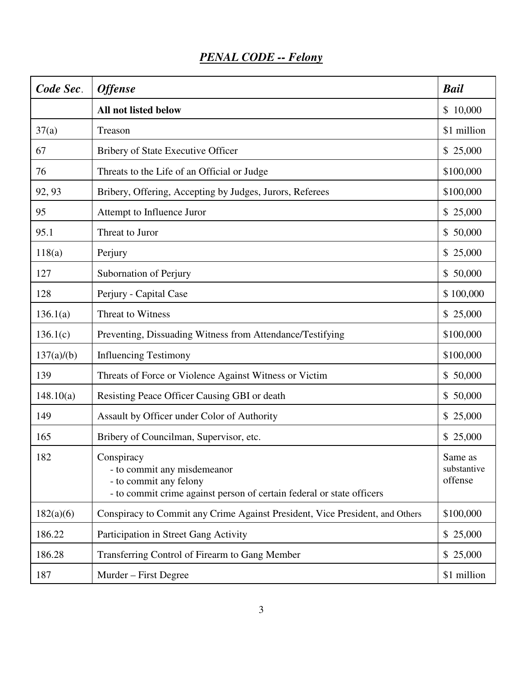| Code Sec.  | <b>Offense</b>                                                                                                                               | <b>Bail</b>                       |
|------------|----------------------------------------------------------------------------------------------------------------------------------------------|-----------------------------------|
|            | All not listed below                                                                                                                         | \$10,000                          |
| 37(a)      | Treason                                                                                                                                      | \$1 million                       |
| 67         | Bribery of State Executive Officer                                                                                                           | \$25,000                          |
| 76         | Threats to the Life of an Official or Judge                                                                                                  | \$100,000                         |
| 92, 93     | Bribery, Offering, Accepting by Judges, Jurors, Referees                                                                                     | \$100,000                         |
| 95         | Attempt to Influence Juror                                                                                                                   | \$25,000                          |
| 95.1       | Threat to Juror                                                                                                                              | \$50,000                          |
| 118(a)     | Perjury                                                                                                                                      | \$25,000                          |
| 127        | Subornation of Perjury                                                                                                                       | \$50,000                          |
| 128        | Perjury - Capital Case                                                                                                                       | \$100,000                         |
| 136.1(a)   | Threat to Witness                                                                                                                            | \$25,000                          |
| 136.1(c)   | Preventing, Dissuading Witness from Attendance/Testifying                                                                                    | \$100,000                         |
| 137(a)/(b) | <b>Influencing Testimony</b>                                                                                                                 | \$100,000                         |
| 139        | Threats of Force or Violence Against Witness or Victim                                                                                       | \$50,000                          |
| 148.10(a)  | Resisting Peace Officer Causing GBI or death                                                                                                 | \$50,000                          |
| 149        | Assault by Officer under Color of Authority                                                                                                  | \$25,000                          |
| 165        | Bribery of Councilman, Supervisor, etc.                                                                                                      | \$25,000                          |
| 182        | Conspiracy<br>- to commit any misdemeanor<br>- to commit any felony<br>- to commit crime against person of certain federal or state officers | Same as<br>substantive<br>offense |
| 182(a)(6)  | Conspiracy to Commit any Crime Against President, Vice President, and Others                                                                 | \$100,000                         |
| 186.22     | Participation in Street Gang Activity                                                                                                        | \$25,000                          |
| 186.28     | Transferring Control of Firearm to Gang Member                                                                                               | \$25,000                          |
| 187        | Murder – First Degree                                                                                                                        | \$1 million                       |

# *PENAL CODE -- Felony*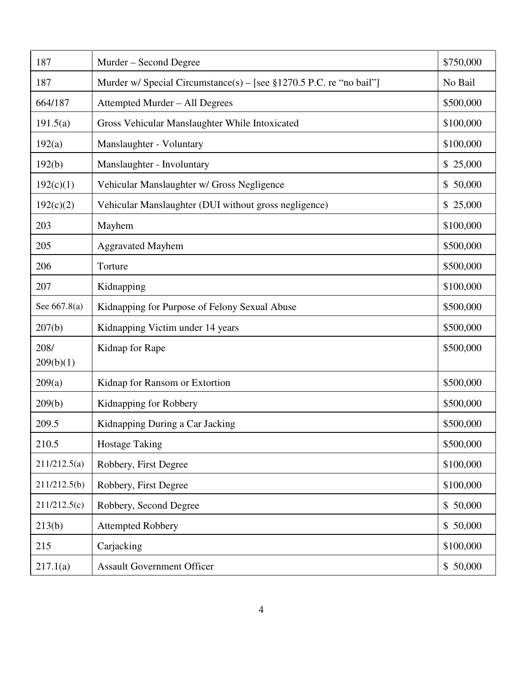| 187               | Murder – Second Degree                                                | \$750,000 |
|-------------------|-----------------------------------------------------------------------|-----------|
| 187               | Murder w/ Special Circumstance(s) – [see $$1270.5$ P.C. re "no bail"] | No Bail   |
| 664/187           | Attempted Murder - All Degrees                                        | \$500,000 |
| 191.5(a)          | Gross Vehicular Manslaughter While Intoxicated                        | \$100,000 |
| 192(a)            | Manslaughter - Voluntary                                              | \$100,000 |
| 192(b)            | Manslaughter - Involuntary                                            | \$25,000  |
| 192(c)(1)         | Vehicular Manslaughter w/ Gross Negligence                            | \$50,000  |
| 192(c)(2)         | Vehicular Manslaughter (DUI without gross negligence)                 | \$25,000  |
| 203               | Mayhem                                                                | \$100,000 |
| 205               | <b>Aggravated Mayhem</b>                                              | \$500,000 |
| 206               | Torture                                                               | \$500,000 |
| 207               | Kidnapping                                                            | \$100,000 |
| See 667.8(a)      | Kidnapping for Purpose of Felony Sexual Abuse                         | \$500,000 |
| 207(b)            | Kidnapping Victim under 14 years                                      | \$500,000 |
| 208/<br>209(b)(1) | Kidnap for Rape                                                       | \$500,000 |
| 209(a)            | Kidnap for Ransom or Extortion                                        | \$500,000 |
| 209(b)            | Kidnapping for Robbery                                                | \$500,000 |
| 209.5             | Kidnapping During a Car Jacking                                       | \$500,000 |
| 210.5             | <b>Hostage Taking</b>                                                 | \$500,000 |
| 211/212.5(a)      | Robbery, First Degree                                                 | \$100,000 |
| 211/212.5(b)      | Robbery, First Degree                                                 | \$100,000 |
| 211/212.5(c)      | Robbery, Second Degree                                                | \$50,000  |
| 213(b)            | <b>Attempted Robbery</b>                                              | \$50,000  |
| 215               | Carjacking                                                            | \$100,000 |
| 217.1(a)          | <b>Assault Government Officer</b>                                     | \$50,000  |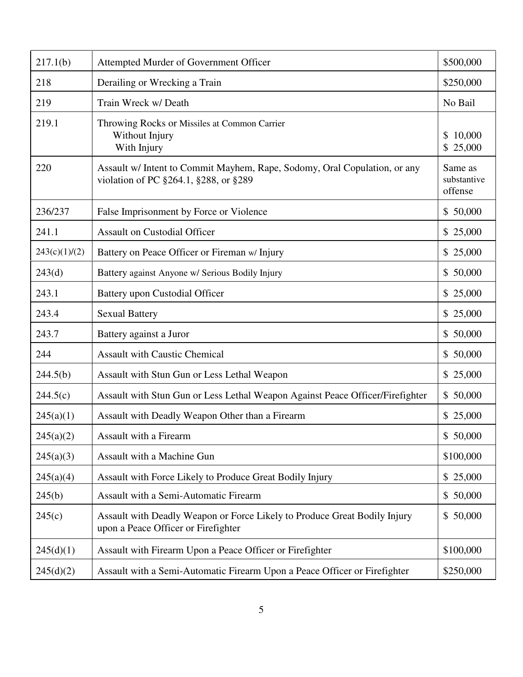| 217.1(b)      | Attempted Murder of Government Officer                                                                             | \$500,000                         |
|---------------|--------------------------------------------------------------------------------------------------------------------|-----------------------------------|
| 218           | Derailing or Wrecking a Train                                                                                      | \$250,000                         |
| 219           | Train Wreck w/ Death                                                                                               | No Bail                           |
| 219.1         | Throwing Rocks or Missiles at Common Carrier<br>Without Injury<br>With Injury                                      | 10,000<br>S.<br>\$25,000          |
| 220           | Assault w/ Intent to Commit Mayhem, Rape, Sodomy, Oral Copulation, or any<br>violation of PC §264.1, §288, or §289 | Same as<br>substantive<br>offense |
| 236/237       | False Imprisonment by Force or Violence                                                                            | \$50,000                          |
| 241.1         | <b>Assault on Custodial Officer</b>                                                                                | \$25,000                          |
| 243(c)(1)/(2) | Battery on Peace Officer or Fireman w/ Injury                                                                      | \$25,000                          |
| 243(d)        | Battery against Anyone w/ Serious Bodily Injury                                                                    | \$50,000                          |
| 243.1         | <b>Battery upon Custodial Officer</b>                                                                              | \$25,000                          |
| 243.4         | <b>Sexual Battery</b>                                                                                              | \$25,000                          |
| 243.7         | Battery against a Juror                                                                                            | \$50,000                          |
| 244           | <b>Assault with Caustic Chemical</b>                                                                               | \$50,000                          |
| 244.5(b)      | Assault with Stun Gun or Less Lethal Weapon                                                                        | \$25,000                          |
| 244.5(c)      | Assault with Stun Gun or Less Lethal Weapon Against Peace Officer/Firefighter                                      | \$50,000                          |
| 245(a)(1)     | Assault with Deadly Weapon Other than a Firearm                                                                    | \$25,000                          |
| 245(a)(2)     | Assault with a Firearm                                                                                             | \$50,000                          |
| 245(a)(3)     | Assault with a Machine Gun                                                                                         | \$100,000                         |
| 245(a)(4)     | Assault with Force Likely to Produce Great Bodily Injury                                                           | \$25,000                          |
| 245(b)        | Assault with a Semi-Automatic Firearm                                                                              | \$50,000                          |
| 245(c)        | Assault with Deadly Weapon or Force Likely to Produce Great Bodily Injury<br>upon a Peace Officer or Firefighter   | \$50,000                          |
| 245(d)(1)     | Assault with Firearm Upon a Peace Officer or Firefighter                                                           | \$100,000                         |
| 245(d)(2)     | Assault with a Semi-Automatic Firearm Upon a Peace Officer or Firefighter                                          | \$250,000                         |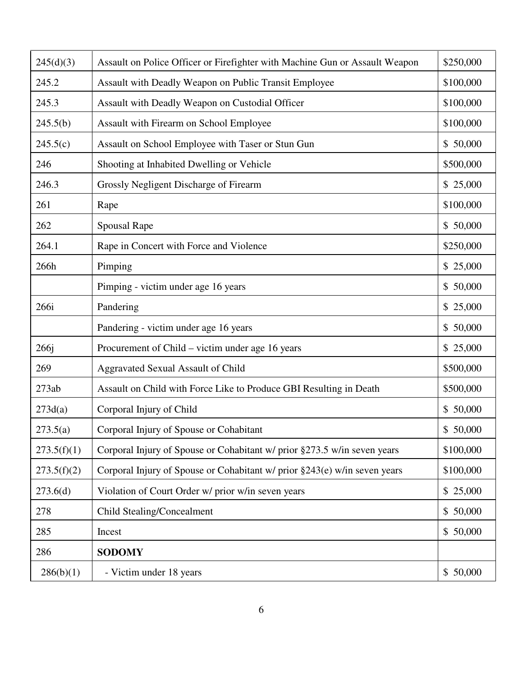| 245(d)(3)        | Assault on Police Officer or Firefighter with Machine Gun or Assault Weapon | \$250,000 |
|------------------|-----------------------------------------------------------------------------|-----------|
| 245.2            | Assault with Deadly Weapon on Public Transit Employee                       | \$100,000 |
| 245.3            | Assault with Deadly Weapon on Custodial Officer                             | \$100,000 |
| 245.5(b)         | Assault with Firearm on School Employee                                     | \$100,000 |
| 245.5(c)         | Assault on School Employee with Taser or Stun Gun                           | \$50,000  |
| 246              | Shooting at Inhabited Dwelling or Vehicle                                   | \$500,000 |
| 246.3            | Grossly Negligent Discharge of Firearm                                      | \$25,000  |
| 261              | Rape                                                                        | \$100,000 |
| 262              | <b>Spousal Rape</b>                                                         | \$50,000  |
| 264.1            | Rape in Concert with Force and Violence                                     | \$250,000 |
| 266h             | Pimping                                                                     | \$25,000  |
|                  | Pimping - victim under age 16 years                                         | \$50,000  |
| 266i             | Pandering                                                                   | \$25,000  |
|                  | Pandering - victim under age 16 years                                       | \$50,000  |
| 266 <sub>j</sub> | Procurement of Child – victim under age 16 years                            | \$25,000  |
| 269              | Aggravated Sexual Assault of Child                                          | \$500,000 |
| 273ab            | Assault on Child with Force Like to Produce GBI Resulting in Death          | \$500,000 |
| 273d(a)          | Corporal Injury of Child                                                    | \$50,000  |
| 273.5(a)         | Corporal Injury of Spouse or Cohabitant                                     | \$50,000  |
| 273.5(f)(1)      | Corporal Injury of Spouse or Cohabitant w/ prior §273.5 w/in seven years    | \$100,000 |
| 273.5(f)(2)      | Corporal Injury of Spouse or Cohabitant w/ prior §243(e) w/in seven years   | \$100,000 |
| 273.6(d)         | Violation of Court Order w/ prior w/in seven years                          | \$25,000  |
| 278              | Child Stealing/Concealment                                                  | \$50,000  |
| 285              | Incest                                                                      | \$50,000  |
| 286              | <b>SODOMY</b>                                                               |           |
| 286(b)(1)        | - Victim under 18 years                                                     | \$50,000  |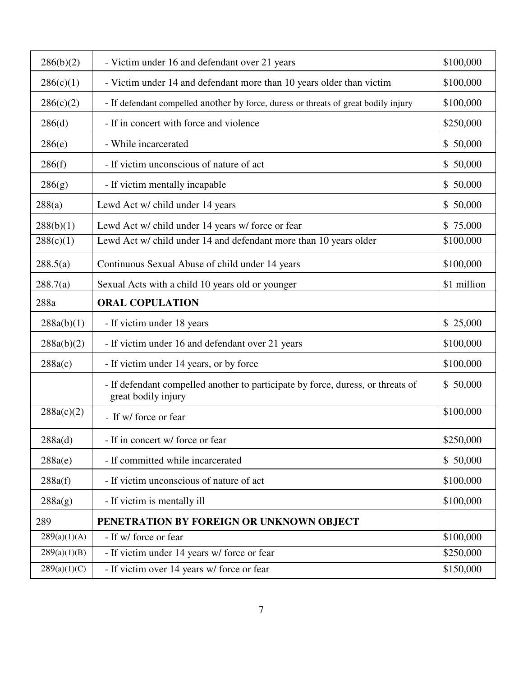| 286(b)(2)    | - Victim under 16 and defendant over 21 years                                                          | \$100,000   |
|--------------|--------------------------------------------------------------------------------------------------------|-------------|
| 286(c)(1)    | - Victim under 14 and defendant more than 10 years older than victim                                   | \$100,000   |
| 286(c)(2)    | - If defendant compelled another by force, duress or threats of great bodily injury                    | \$100,000   |
| 286(d)       | - If in concert with force and violence                                                                | \$250,000   |
| 286(e)       | - While incarcerated                                                                                   | \$50,000    |
| 286(f)       | - If victim unconscious of nature of act                                                               | \$50,000    |
| 286(g)       | - If victim mentally incapable                                                                         | \$50,000    |
| 288(a)       | Lewd Act w/ child under 14 years                                                                       | \$50,000    |
| 288(b)(1)    | Lewd Act w/ child under 14 years w/ force or fear                                                      | \$75,000    |
| 288(c)(1)    | Lewd Act w/ child under 14 and defendant more than 10 years older                                      | \$100,000   |
| 288.5(a)     | Continuous Sexual Abuse of child under 14 years                                                        | \$100,000   |
| 288.7(a)     | Sexual Acts with a child 10 years old or younger                                                       | \$1 million |
| 288a         | <b>ORAL COPULATION</b>                                                                                 |             |
|              |                                                                                                        |             |
| 288a(b)(1)   | - If victim under 18 years                                                                             | \$25,000    |
| 288a(b)(2)   | - If victim under 16 and defendant over 21 years                                                       | \$100,000   |
| 288a(c)      | - If victim under 14 years, or by force                                                                | \$100,000   |
|              | - If defendant compelled another to participate by force, duress, or threats of<br>great bodily injury | \$50,000    |
| 288a(c)(2)   | - If w/ force or fear                                                                                  | \$100,000   |
| 288a(d)      | - If in concert w/ force or fear                                                                       | \$250,000   |
| 288a(e)      | - If committed while incarcerated                                                                      | \$50,000    |
| 288a(f)      | - If victim unconscious of nature of act                                                               | \$100,000   |
| 288a(g)      | - If victim is mentally ill                                                                            | \$100,000   |
| 289          | PENETRATION BY FOREIGN OR UNKNOWN OBJECT                                                               |             |
| 289(a)(1)(A) | - If w/ force or fear                                                                                  | \$100,000   |
| 289(a)(1)(B) | - If victim under 14 years w/ force or fear                                                            | \$250,000   |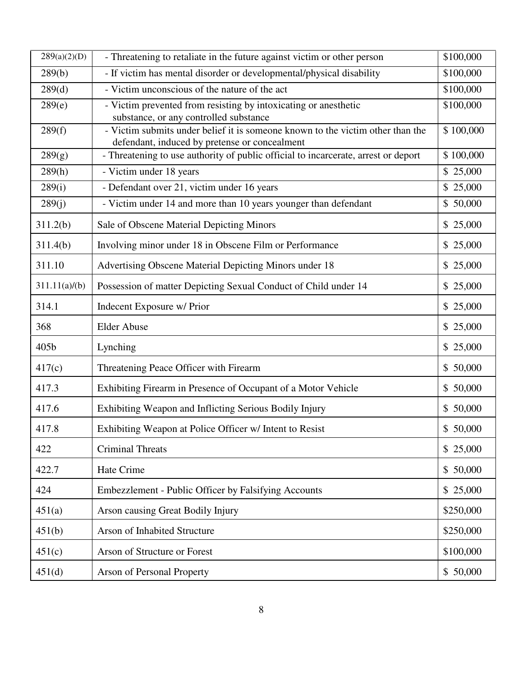| 289(a)(2)(D)  | - Threatening to retaliate in the future against victim or other person                                                         | \$100,000 |
|---------------|---------------------------------------------------------------------------------------------------------------------------------|-----------|
| 289(b)        | - If victim has mental disorder or developmental/physical disability                                                            | \$100,000 |
| 289(d)        | - Victim unconscious of the nature of the act                                                                                   | \$100,000 |
| 289(e)        | - Victim prevented from resisting by intoxicating or anesthetic<br>substance, or any controlled substance                       | \$100,000 |
| 289(f)        | - Victim submits under belief it is someone known to the victim other than the<br>defendant, induced by pretense or concealment | \$100,000 |
| 289(g)        | - Threatening to use authority of public official to incarcerate, arrest or deport                                              | \$100,000 |
| 289(h)        | - Victim under 18 years                                                                                                         | \$25,000  |
| 289(i)        | - Defendant over 21, victim under 16 years                                                                                      | \$ 25,000 |
| 289(j)        | - Victim under 14 and more than 10 years younger than defendant                                                                 | \$50,000  |
| 311.2(b)      | Sale of Obscene Material Depicting Minors                                                                                       | \$25,000  |
| 311.4(b)      | Involving minor under 18 in Obscene Film or Performance                                                                         | \$25,000  |
| 311.10        | Advertising Obscene Material Depicting Minors under 18                                                                          | \$25,000  |
| 311.11(a)/(b) | Possession of matter Depicting Sexual Conduct of Child under 14                                                                 | \$25,000  |
| 314.1         | Indecent Exposure w/ Prior                                                                                                      | \$25,000  |
| 368           | <b>Elder Abuse</b>                                                                                                              | \$25,000  |
| 405b          | Lynching                                                                                                                        | \$25,000  |
| 417(c)        | Threatening Peace Officer with Firearm                                                                                          | \$50,000  |
| 417.3         | Exhibiting Firearm in Presence of Occupant of a Motor Vehicle                                                                   | \$50,000  |
| 417.6         | Exhibiting Weapon and Inflicting Serious Bodily Injury                                                                          | \$50,000  |
| 417.8         | Exhibiting Weapon at Police Officer w/ Intent to Resist                                                                         | \$50,000  |
| 422           | <b>Criminal Threats</b>                                                                                                         | \$25,000  |
| 422.7         | Hate Crime                                                                                                                      | \$50,000  |
| 424           | Embezzlement - Public Officer by Falsifying Accounts                                                                            | \$25,000  |
| 451(a)        | Arson causing Great Bodily Injury                                                                                               | \$250,000 |
| 451(b)        | Arson of Inhabited Structure                                                                                                    | \$250,000 |
| 451(c)        | Arson of Structure or Forest                                                                                                    | \$100,000 |
| 451(d)        | <b>Arson of Personal Property</b>                                                                                               | \$50,000  |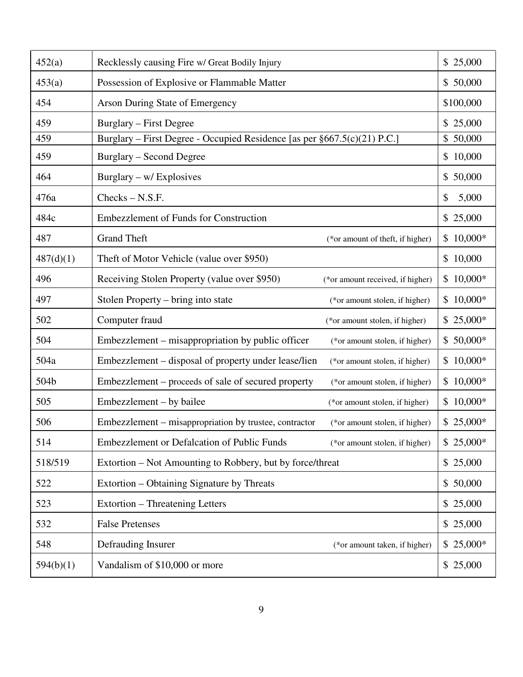| 452(a)    | Recklessly causing Fire w/ Great Bodily Injury                                           | \$25,000    |
|-----------|------------------------------------------------------------------------------------------|-------------|
| 453(a)    | Possession of Explosive or Flammable Matter                                              | \$50,000    |
| 454       | Arson During State of Emergency                                                          | \$100,000   |
| 459       | Burglary – First Degree                                                                  | \$25,000    |
| 459       | Burglary – First Degree - Occupied Residence [as per §667.5(c)(21) P.C.]                 | \$50,000    |
| 459       | <b>Burglary – Second Degree</b>                                                          | \$10,000    |
| 464       | Burglary – w/ Explosives                                                                 | \$50,000    |
| 476a      | $Checks - N.S.F.$                                                                        | \$<br>5,000 |
| 484c      | <b>Embezzlement of Funds for Construction</b>                                            | \$25,000    |
| 487       | <b>Grand Theft</b><br>(*or amount of theft, if higher)                                   | $$10,000*$  |
| 487(d)(1) | Theft of Motor Vehicle (value over \$950)                                                | \$10,000    |
| 496       | Receiving Stolen Property (value over \$950)<br>(*or amount received, if higher)         | $$10,000*$  |
| 497       | Stolen Property – bring into state<br>(*or amount stolen, if higher)                     | $$10,000*$  |
| 502       | Computer fraud<br>(*or amount stolen, if higher)                                         | $$25,000*$  |
| 504       | Embezzlement – misappropriation by public officer<br>(*or amount stolen, if higher)      | $$50,000*$  |
| 504a      | Embezzlement – disposal of property under lease/lien<br>(*or amount stolen, if higher)   | $$10,000*$  |
| 504b      | Embezzlement – proceeds of sale of secured property<br>(*or amount stolen, if higher)    | $$10,000*$  |
| 505       | Embezzlement – by bailee<br>(*or amount stolen, if higher)                               | $$10,000*$  |
| 506       | Embezzlement – misappropriation by trustee, contractor<br>(*or amount stolen, if higher) | $$25,000*$  |
| 514       | Embezzlement or Defalcation of Public Funds<br>(*or amount stolen, if higher)            | $$25,000*$  |
| 518/519   | Extortion – Not Amounting to Robbery, but by force/threat                                | \$25,000    |
| 522       | Extortion – Obtaining Signature by Threats                                               | \$50,000    |
| 523       | Extortion – Threatening Letters                                                          | \$25,000    |
| 532       | <b>False Pretenses</b>                                                                   | \$25,000    |
| 548       | Defrauding Insurer<br>(*or amount taken, if higher)                                      | $$25,000*$  |
| 594(b)(1) | Vandalism of \$10,000 or more                                                            | \$25,000    |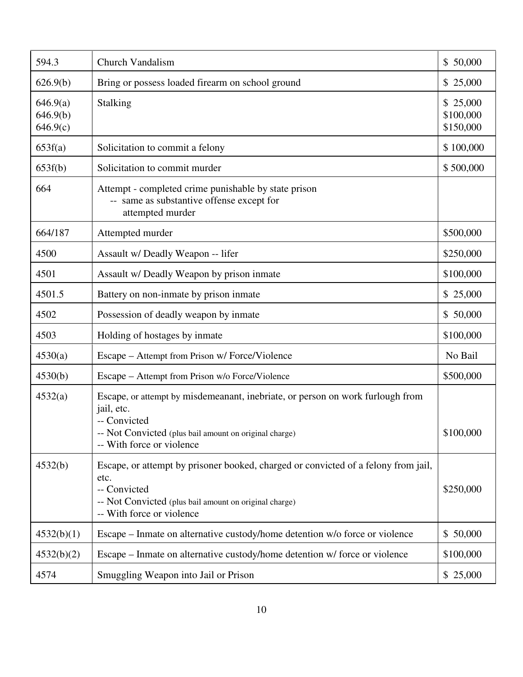| 594.3                            | <b>Church Vandalism</b>                                                                                                                                                                             | \$50,000                           |
|----------------------------------|-----------------------------------------------------------------------------------------------------------------------------------------------------------------------------------------------------|------------------------------------|
| 626.9(b)                         | Bring or possess loaded firearm on school ground                                                                                                                                                    | \$25,000                           |
| 646.9(a)<br>646.9(b)<br>646.9(c) | Stalking                                                                                                                                                                                            | \$25,000<br>\$100,000<br>\$150,000 |
| 653f(a)                          | Solicitation to commit a felony                                                                                                                                                                     | \$100,000                          |
| 653f(b)                          | Solicitation to commit murder                                                                                                                                                                       | \$500,000                          |
| 664                              | Attempt - completed crime punishable by state prison<br>-- same as substantive offense except for<br>attempted murder                                                                               |                                    |
| 664/187                          | Attempted murder                                                                                                                                                                                    | \$500,000                          |
| 4500                             | Assault w/ Deadly Weapon -- lifer                                                                                                                                                                   | \$250,000                          |
| 4501                             | Assault w/ Deadly Weapon by prison inmate                                                                                                                                                           | \$100,000                          |
| 4501.5                           | Battery on non-inmate by prison inmate                                                                                                                                                              | \$25,000                           |
| 4502                             | Possession of deadly weapon by inmate                                                                                                                                                               | \$50,000                           |
| 4503                             | Holding of hostages by inmate                                                                                                                                                                       | \$100,000                          |
| 4530(a)                          | Escape – Attempt from Prison w/ Force/Violence                                                                                                                                                      | No Bail                            |
| 4530(b)                          | Escape – Attempt from Prison w/o Force/Violence                                                                                                                                                     | \$500,000                          |
| 4532(a)                          | Escape, or attempt by misdemeanant, inebriate, or person on work furlough from<br>jail, etc.<br>-- Convicted<br>-- Not Convicted (plus bail amount on original charge)<br>-- With force or violence | \$100,000                          |
| 4532(b)                          | Escape, or attempt by prisoner booked, charged or convicted of a felony from jail,<br>etc.<br>-- Convicted<br>-- Not Convicted (plus bail amount on original charge)<br>-- With force or violence   | \$250,000                          |
| 4532(b)(1)                       | Escape – Inmate on alternative custody/home detention w/o force or violence                                                                                                                         | \$50,000                           |
| 4532(b)(2)                       | Escape – Inmate on alternative custody/home detention w/ force or violence                                                                                                                          | \$100,000                          |
| 4574                             | Smuggling Weapon into Jail or Prison                                                                                                                                                                | \$25,000                           |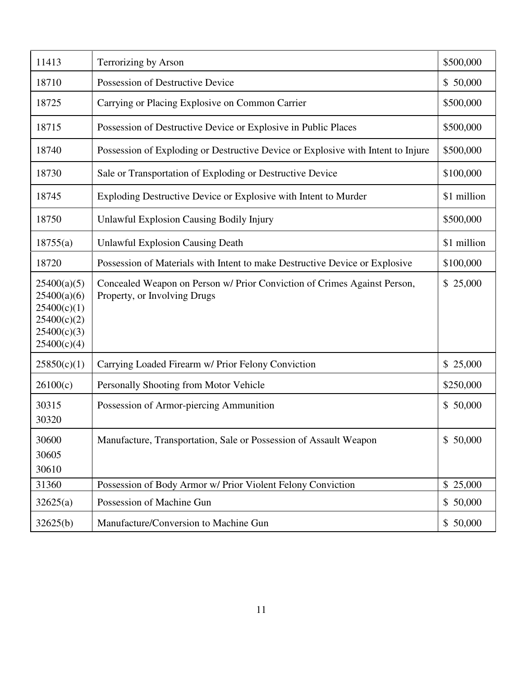| 11413                                                                                  | Terrorizing by Arson                                                                                     | \$500,000   |
|----------------------------------------------------------------------------------------|----------------------------------------------------------------------------------------------------------|-------------|
| 18710                                                                                  | Possession of Destructive Device                                                                         | \$50,000    |
| 18725                                                                                  | Carrying or Placing Explosive on Common Carrier                                                          | \$500,000   |
| 18715                                                                                  | Possession of Destructive Device or Explosive in Public Places                                           | \$500,000   |
| 18740                                                                                  | Possession of Exploding or Destructive Device or Explosive with Intent to Injure                         | \$500,000   |
| 18730                                                                                  | Sale or Transportation of Exploding or Destructive Device                                                | \$100,000   |
| 18745                                                                                  | Exploding Destructive Device or Explosive with Intent to Murder                                          | \$1 million |
| 18750                                                                                  | <b>Unlawful Explosion Causing Bodily Injury</b>                                                          | \$500,000   |
| 18755(a)                                                                               | <b>Unlawful Explosion Causing Death</b>                                                                  | \$1 million |
| 18720                                                                                  | Possession of Materials with Intent to make Destructive Device or Explosive                              | \$100,000   |
| 25400(a)(5)<br>25400(a)(6)<br>25400(c)(1)<br>25400(c)(2)<br>25400(c)(3)<br>25400(c)(4) | Concealed Weapon on Person w/ Prior Conviction of Crimes Against Person,<br>Property, or Involving Drugs | \$25,000    |
| 25850(c)(1)                                                                            | Carrying Loaded Firearm w/ Prior Felony Conviction                                                       | \$25,000    |
| 26100(c)                                                                               | Personally Shooting from Motor Vehicle                                                                   | \$250,000   |
| 30315<br>30320                                                                         | Possession of Armor-piercing Ammunition                                                                  | \$50,000    |
| 30600<br>30605<br>30610                                                                | Manufacture, Transportation, Sale or Possession of Assault Weapon                                        | \$50,000    |
| 31360                                                                                  | Possession of Body Armor w/ Prior Violent Felony Conviction                                              | \$25,000    |
| 32625(a)                                                                               | Possession of Machine Gun                                                                                | \$50,000    |
| 32625(b)                                                                               | Manufacture/Conversion to Machine Gun                                                                    | \$50,000    |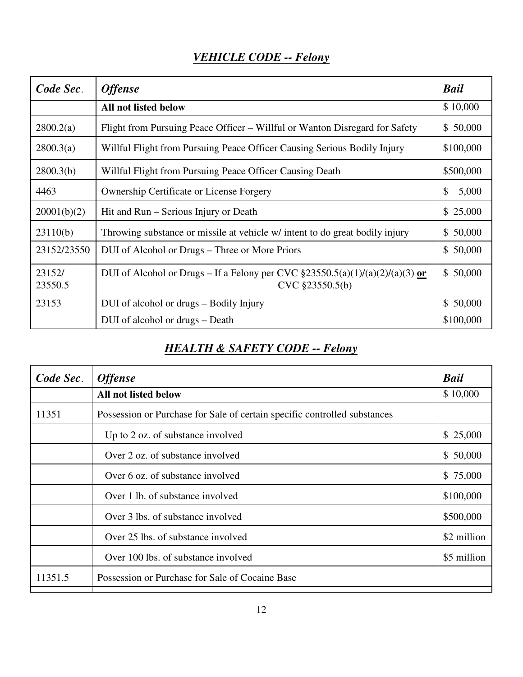| Code Sec.         | <b>Offense</b>                                                                                       | <b>Bail</b>            |
|-------------------|------------------------------------------------------------------------------------------------------|------------------------|
|                   | All not listed below                                                                                 | \$10,000               |
| 2800.2(a)         | Flight from Pursuing Peace Officer – Willful or Wanton Disregard for Safety                          | \$50,000               |
| 2800.3(a)         | Willful Flight from Pursuing Peace Officer Causing Serious Bodily Injury                             | \$100,000              |
| 2800.3(b)         | Willful Flight from Pursuing Peace Officer Causing Death                                             | \$500,000              |
| 4463              | <b>Ownership Certificate or License Forgery</b>                                                      | \$<br>5,000            |
| 20001(b)(2)       | Hit and Run – Serious Injury or Death                                                                | \$25,000               |
| 23110(b)          | Throwing substance or missile at vehicle w/ intent to do great bodily injury                         | 50,000<br>\$           |
| 23152/23550       | DUI of Alcohol or Drugs – Three or More Priors                                                       | \$50,000               |
| 23152/<br>23550.5 | DUI of Alcohol or Drugs – If a Felony per CVC $\S 23550.5(a)(1)/(a)(2)/(a)(3)$ or<br>CVC §23550.5(b) | 50,000<br>\$           |
| 23153             | DUI of alcohol or drugs – Bodily Injury                                                              | 50,000<br>$\mathbb{S}$ |
|                   | DUI of alcohol or drugs – Death                                                                      | \$100,000              |

# *HEALTH & SAFETY CODE -- Felony*

| Code Sec. | <b>Offense</b>                                                            | <b>Bail</b> |
|-----------|---------------------------------------------------------------------------|-------------|
|           | <b>All not listed below</b>                                               | \$10,000    |
| 11351     | Possession or Purchase for Sale of certain specific controlled substances |             |
|           | Up to 2 oz. of substance involved                                         | \$25,000    |
|           | Over 2 oz. of substance involved                                          | \$50,000    |
|           | Over 6 oz. of substance involved                                          | \$75,000    |
|           | Over 1 lb. of substance involved                                          | \$100,000   |
|           | Over 3 lbs. of substance involved                                         | \$500,000   |
|           | Over 25 lbs. of substance involved                                        | \$2 million |
|           | Over 100 lbs. of substance involved                                       | \$5 million |
| 11351.5   | Possession or Purchase for Sale of Cocaine Base                           |             |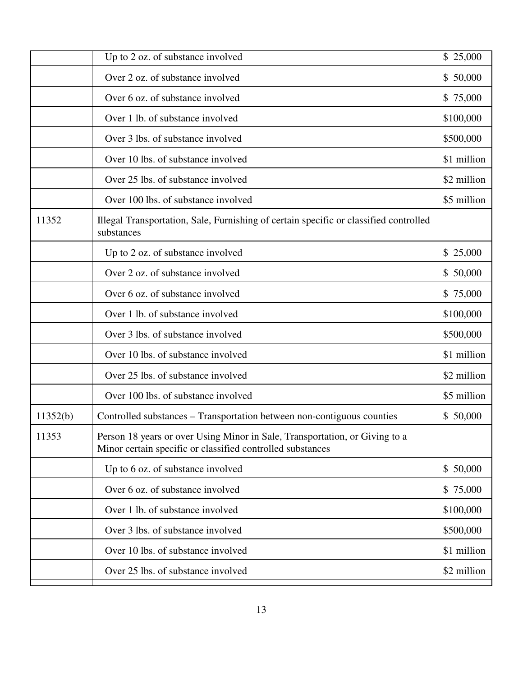|          | Up to 2 oz. of substance involved                                                                                                         | \$25,000    |
|----------|-------------------------------------------------------------------------------------------------------------------------------------------|-------------|
|          | Over 2 oz. of substance involved                                                                                                          | \$50,000    |
|          | Over 6 oz. of substance involved                                                                                                          | \$75,000    |
|          | Over 1 lb. of substance involved                                                                                                          | \$100,000   |
|          | Over 3 lbs. of substance involved                                                                                                         | \$500,000   |
|          | Over 10 lbs. of substance involved                                                                                                        | \$1 million |
|          | Over 25 lbs. of substance involved                                                                                                        | \$2 million |
|          | Over 100 lbs. of substance involved                                                                                                       | \$5 million |
| 11352    | Illegal Transportation, Sale, Furnishing of certain specific or classified controlled<br>substances                                       |             |
|          | Up to 2 oz. of substance involved                                                                                                         | \$25,000    |
|          | Over 2 oz. of substance involved                                                                                                          | \$50,000    |
|          | Over 6 oz. of substance involved                                                                                                          | \$75,000    |
|          | Over 1 lb. of substance involved                                                                                                          | \$100,000   |
|          | Over 3 lbs. of substance involved                                                                                                         | \$500,000   |
|          | Over 10 lbs. of substance involved                                                                                                        | \$1 million |
|          | Over 25 lbs. of substance involved                                                                                                        | \$2 million |
|          | Over 100 lbs. of substance involved                                                                                                       | \$5 million |
| 11352(b) | Controlled substances - Transportation between non-contiguous counties                                                                    | \$50,000    |
| 11353    | Person 18 years or over Using Minor in Sale, Transportation, or Giving to a<br>Minor certain specific or classified controlled substances |             |
|          | Up to 6 oz. of substance involved                                                                                                         | \$50,000    |
|          | Over 6 oz. of substance involved                                                                                                          | \$75,000    |
|          | Over 1 lb. of substance involved                                                                                                          | \$100,000   |
|          | Over 3 lbs. of substance involved                                                                                                         | \$500,000   |
|          | Over 10 lbs. of substance involved                                                                                                        | \$1 million |
|          | Over 25 lbs. of substance involved                                                                                                        | \$2 million |
|          |                                                                                                                                           |             |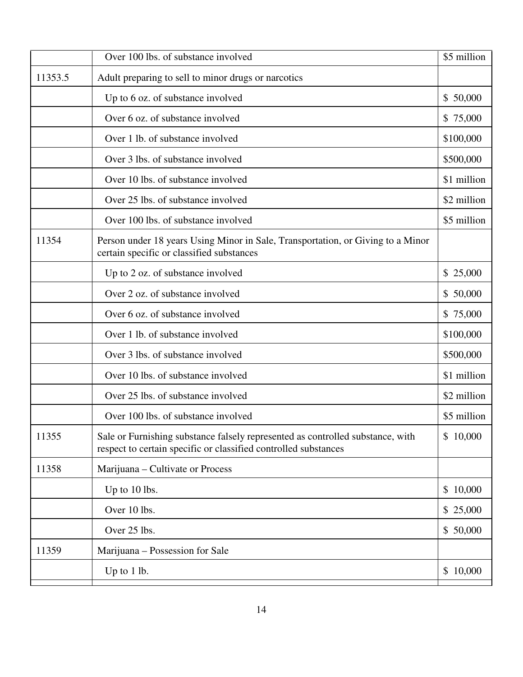|         | Over 100 lbs. of substance involved                                                                                                               | \$5 million |
|---------|---------------------------------------------------------------------------------------------------------------------------------------------------|-------------|
| 11353.5 | Adult preparing to sell to minor drugs or narcotics                                                                                               |             |
|         | Up to 6 oz. of substance involved                                                                                                                 | \$50,000    |
|         | Over 6 oz. of substance involved                                                                                                                  | \$75,000    |
|         | Over 1 lb. of substance involved                                                                                                                  | \$100,000   |
|         | Over 3 lbs. of substance involved                                                                                                                 | \$500,000   |
|         | Over 10 lbs. of substance involved                                                                                                                | \$1 million |
|         | Over 25 lbs. of substance involved                                                                                                                | \$2 million |
|         | Over 100 lbs. of substance involved                                                                                                               | \$5 million |
| 11354   | Person under 18 years Using Minor in Sale, Transportation, or Giving to a Minor<br>certain specific or classified substances                      |             |
|         | Up to 2 oz. of substance involved                                                                                                                 | \$25,000    |
|         | Over 2 oz. of substance involved                                                                                                                  | \$50,000    |
|         | Over 6 oz. of substance involved                                                                                                                  | \$75,000    |
|         | Over 1 lb. of substance involved                                                                                                                  | \$100,000   |
|         | Over 3 lbs. of substance involved                                                                                                                 | \$500,000   |
|         | Over 10 lbs. of substance involved                                                                                                                | \$1 million |
|         | Over 25 lbs. of substance involved                                                                                                                | \$2 million |
|         | Over 100 lbs. of substance involved                                                                                                               | \$5 million |
| 11355   | Sale or Furnishing substance falsely represented as controlled substance, with<br>respect to certain specific or classified controlled substances | \$10,000    |
| 11358   | Marijuana – Cultivate or Process                                                                                                                  |             |
|         | Up to 10 lbs.                                                                                                                                     | \$10,000    |
|         | Over 10 lbs.                                                                                                                                      | \$25,000    |
|         | Over 25 lbs.                                                                                                                                      | \$50,000    |
| 11359   | Marijuana – Possession for Sale                                                                                                                   |             |
|         | Up to 1 lb.                                                                                                                                       | \$10,000    |
|         |                                                                                                                                                   |             |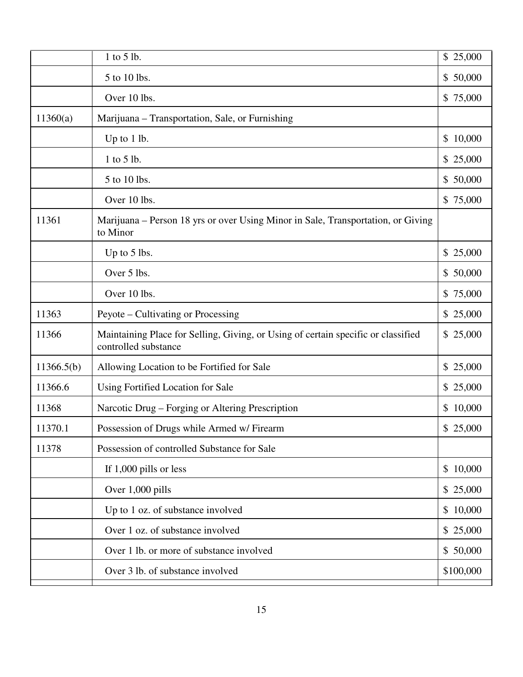|            | 1 to 5 lb.                                                                                                | \$25,000     |
|------------|-----------------------------------------------------------------------------------------------------------|--------------|
|            | 5 to 10 lbs.                                                                                              | \$50,000     |
|            | Over 10 lbs.                                                                                              | \$75,000     |
| 11360(a)   | Marijuana – Transportation, Sale, or Furnishing                                                           |              |
|            | Up to 1 lb.                                                                                               | \$10,000     |
|            | 1 to 5 lb.                                                                                                | \$ 25,000    |
|            | 5 to 10 lbs.                                                                                              | \$50,000     |
|            | Over 10 lbs.                                                                                              | \$75,000     |
| 11361      | Marijuana – Person 18 yrs or over Using Minor in Sale, Transportation, or Giving<br>to Minor              |              |
|            | Up to 5 lbs.                                                                                              | \$25,000     |
|            | Over 5 lbs.                                                                                               | \$50,000     |
|            | Over 10 lbs.                                                                                              | \$75,000     |
| 11363      | Peyote – Cultivating or Processing                                                                        | \$ 25,000    |
| 11366      | Maintaining Place for Selling, Giving, or Using of certain specific or classified<br>controlled substance | \$ 25,000    |
| 11366.5(b) | Allowing Location to be Fortified for Sale                                                                | 25,000<br>\$ |
| 11366.6    | Using Fortified Location for Sale                                                                         | \$25,000     |
| 11368      | Narcotic Drug – Forging or Altering Prescription                                                          | 10,000<br>\$ |
| 11370.1    | Possession of Drugs while Armed w/ Firearm                                                                | \$25,000     |
| 11378      | Possession of controlled Substance for Sale                                                               |              |
|            | If 1,000 pills or less                                                                                    | 10,000<br>\$ |
|            | Over 1,000 pills                                                                                          | \$25,000     |
|            | Up to 1 oz. of substance involved                                                                         | \$10,000     |
|            | Over 1 oz. of substance involved                                                                          | \$25,000     |
|            | Over 1 lb. or more of substance involved                                                                  | \$50,000     |
|            | Over 3 lb. of substance involved                                                                          | \$100,000    |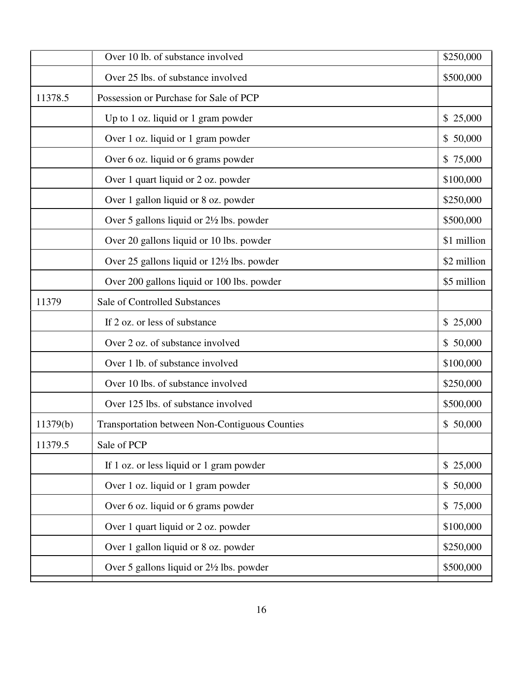|          | Over 10 lb. of substance involved                     | \$250,000   |
|----------|-------------------------------------------------------|-------------|
|          | Over 25 lbs. of substance involved                    | \$500,000   |
| 11378.5  | Possession or Purchase for Sale of PCP                |             |
|          | Up to 1 oz. liquid or 1 gram powder                   | \$25,000    |
|          | Over 1 oz. liquid or 1 gram powder                    | \$50,000    |
|          | Over 6 oz. liquid or 6 grams powder                   | \$75,000    |
|          | Over 1 quart liquid or 2 oz. powder                   | \$100,000   |
|          | Over 1 gallon liquid or 8 oz. powder                  | \$250,000   |
|          | Over 5 gallons liquid or 2½ lbs. powder               | \$500,000   |
|          | Over 20 gallons liquid or 10 lbs. powder              | \$1 million |
|          | Over 25 gallons liquid or $12\frac{1}{2}$ lbs. powder | \$2 million |
|          | Over 200 gallons liquid or 100 lbs. powder            | \$5 million |
| 11379    | Sale of Controlled Substances                         |             |
|          | If 2 oz. or less of substance                         | \$25,000    |
|          | Over 2 oz. of substance involved                      | \$50,000    |
|          | Over 1 lb. of substance involved                      | \$100,000   |
|          | Over 10 lbs. of substance involved                    | \$250,000   |
|          | Over 125 lbs. of substance involved                   | \$500,000   |
| 11379(b) | Transportation between Non-Contiguous Counties        | \$50,000    |
| 11379.5  | Sale of PCP                                           |             |
|          | If 1 oz. or less liquid or 1 gram powder              | \$25,000    |
|          | Over 1 oz. liquid or 1 gram powder                    | \$50,000    |
|          | Over 6 oz. liquid or 6 grams powder                   | \$75,000    |
|          | Over 1 quart liquid or 2 oz. powder                   | \$100,000   |
|          | Over 1 gallon liquid or 8 oz. powder                  | \$250,000   |
|          | Over 5 gallons liquid or 2½ lbs. powder               | \$500,000   |
|          |                                                       |             |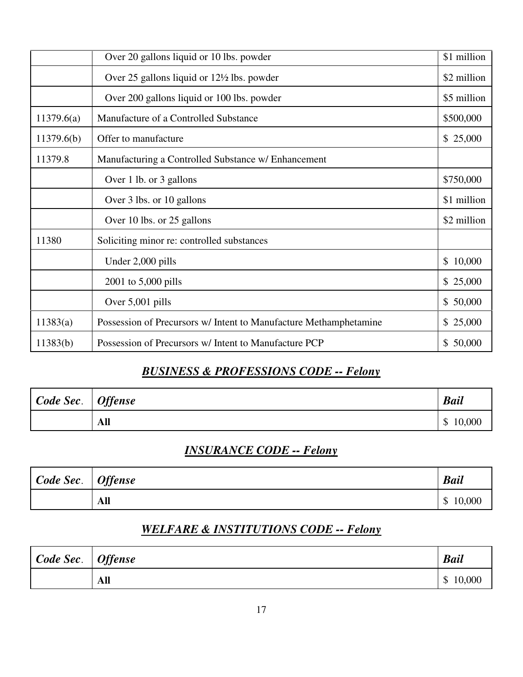|            | Over 20 gallons liquid or 10 lbs. powder                          | \$1 million |
|------------|-------------------------------------------------------------------|-------------|
|            | Over 25 gallons liquid or $12\frac{1}{2}$ lbs. powder             | \$2 million |
|            | Over 200 gallons liquid or 100 lbs. powder                        | \$5 million |
| 11379.6(a) | Manufacture of a Controlled Substance                             | \$500,000   |
| 11379.6(b) | Offer to manufacture                                              | \$25,000    |
| 11379.8    | Manufacturing a Controlled Substance w/ Enhancement               |             |
|            | Over 1 lb. or 3 gallons                                           | \$750,000   |
|            | Over 3 lbs. or 10 gallons                                         | \$1 million |
|            | Over 10 lbs. or 25 gallons                                        | \$2 million |
| 11380      | Soliciting minor re: controlled substances                        |             |
|            | Under 2,000 pills                                                 | \$10,000    |
|            | 2001 to 5,000 pills                                               | \$25,000    |
|            | Over 5,001 pills                                                  | \$50,000    |
| 11383(a)   | Possession of Precursors w/ Intent to Manufacture Methamphetamine | \$25,000    |
| 11383(b)   | Possession of Precursors w/ Intent to Manufacture PCP             | \$50,000    |

## *BUSINESS & PROFESSIONS CODE -- Felony*

| Code Sec.   Offense |     | <b>Bail</b>                         |
|---------------------|-----|-------------------------------------|
|                     | All | 10,000<br>$\boldsymbol{\mathsf{S}}$ |

#### *INSURANCE CODE -- Felony*

| Code Sec.   Offense |     | <b>Bail</b>             |
|---------------------|-----|-------------------------|
|                     | All | 10,000<br>$\mathcal{S}$ |

# *WELFARE & INSTITUTIONS CODE -- Felony*

| $\big\vert$ Code Sec. $\big\vert$ Offense |     | <b>Bail</b>                         |
|-------------------------------------------|-----|-------------------------------------|
|                                           | All | 10,000<br>$\boldsymbol{\mathsf{S}}$ |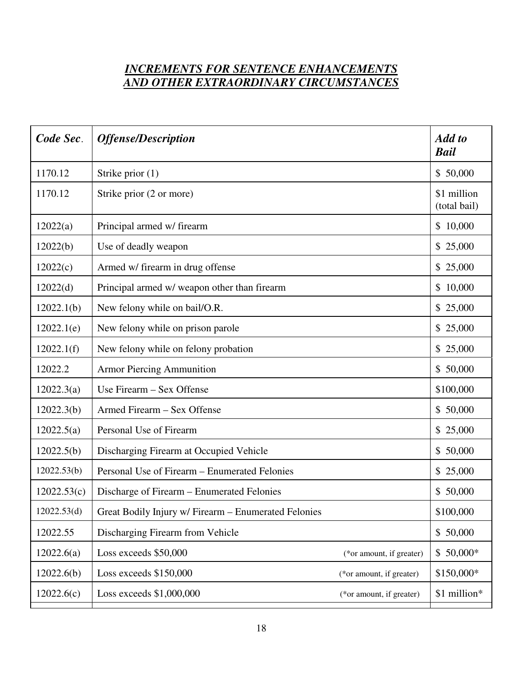## *INCREMENTS FOR SENTENCE ENHANCEMENTS AND OTHER EXTRAORDINARY CIRCUMSTANCES*

| Code Sec.   | <b>Offense/Description</b>                           |                          | Add to<br><b>Bail</b>       |
|-------------|------------------------------------------------------|--------------------------|-----------------------------|
| 1170.12     | Strike prior $(1)$                                   |                          | \$50,000                    |
| 1170.12     | Strike prior (2 or more)                             |                          | \$1 million<br>(total bail) |
| 12022(a)    | Principal armed w/ firearm                           |                          | \$10,000                    |
| 12022(b)    | Use of deadly weapon                                 |                          | \$25,000                    |
| 12022(c)    | Armed w/ firearm in drug offense                     |                          | \$25,000                    |
| 12022(d)    | Principal armed w/ weapon other than firearm         |                          | \$10,000                    |
| 12022.1(b)  | New felony while on bail/O.R.                        |                          | \$25,000                    |
| 12022.1(e)  | New felony while on prison parole                    |                          | \$25,000                    |
| 12022.1(f)  | New felony while on felony probation                 |                          | \$25,000                    |
| 12022.2     | <b>Armor Piercing Ammunition</b>                     |                          | \$50,000                    |
| 12022.3(a)  | Use Firearm – Sex Offense                            |                          | \$100,000                   |
| 12022.3(b)  | Armed Firearm - Sex Offense                          |                          | \$50,000                    |
| 12022.5(a)  | Personal Use of Firearm                              |                          | \$25,000                    |
| 12022.5(b)  | Discharging Firearm at Occupied Vehicle              |                          | \$50,000                    |
| 12022.53(b) | Personal Use of Firearm – Enumerated Felonies        |                          | \$25,000                    |
| 12022.53(c) | Discharge of Firearm – Enumerated Felonies           |                          | \$50,000                    |
| 12022.53(d) | Great Bodily Injury w/ Firearm - Enumerated Felonies |                          | \$100,000                   |
| 12022.55    | Discharging Firearm from Vehicle                     |                          | \$50,000                    |
| 12022.6(a)  | Loss exceeds \$50,000                                | (*or amount, if greater) | $$50,000*$                  |
| 12022.6(b)  | Loss exceeds \$150,000                               | (*or amount, if greater) | \$150,000*                  |
| 12022.6(c)  | Loss exceeds \$1,000,000                             | (*or amount, if greater) | \$1 million*                |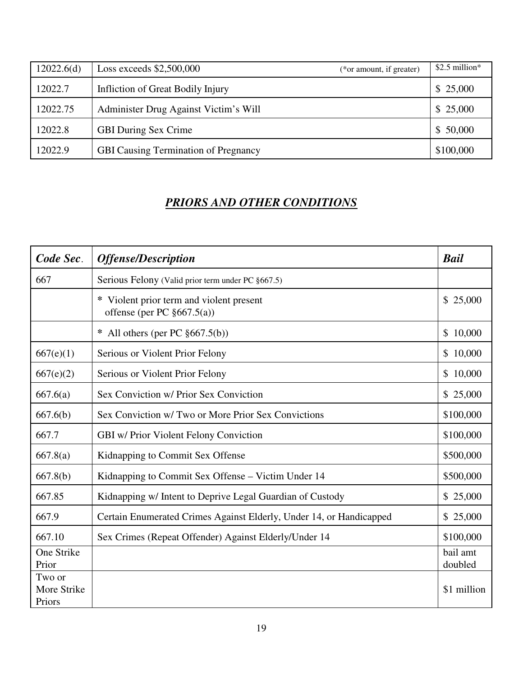| 12022.6(d) | Loss exceeds $$2,500,000$<br>(*or amount, if greater) | $$2.5$ million* |
|------------|-------------------------------------------------------|-----------------|
| 12022.7    | Infliction of Great Bodily Injury                     | \$25,000        |
| 12022.75   | Administer Drug Against Victim's Will                 | \$25,000        |
| 12022.8    | <b>GBI During Sex Crime</b>                           | \$50,000        |
| 12022.9    | <b>GBI Causing Termination of Pregnancy</b>           | \$100,000       |

#### *PRIORS AND OTHER CONDITIONS*

| Code Sec.                       | <b>Offense/Description</b>                                                  | <b>Bail</b>            |
|---------------------------------|-----------------------------------------------------------------------------|------------------------|
| 667                             | Serious Felony (Valid prior term under PC §667.5)                           |                        |
|                                 | * Violent prior term and violent present<br>offense (per PC $\S 667.5(a)$ ) | \$25,000               |
|                                 | * All others (per PC $\S667.5(b)$ )                                         | 10,000<br>\$           |
| 667(e)(1)                       | Serious or Violent Prior Felony                                             | 10,000<br>$\mathbb{S}$ |
| 667(e)(2)                       | Serious or Violent Prior Felony                                             | \$10,000               |
| 667.6(a)                        | Sex Conviction w/ Prior Sex Conviction                                      | \$ 25,000              |
| 667.6(b)                        | Sex Conviction w/ Two or More Prior Sex Convictions                         | \$100,000              |
| 667.7                           | GBI w/ Prior Violent Felony Conviction                                      | \$100,000              |
| 667.8(a)                        | Kidnapping to Commit Sex Offense                                            | \$500,000              |
| 667.8(b)                        | Kidnapping to Commit Sex Offense - Victim Under 14                          | \$500,000              |
| 667.85                          | Kidnapping w/ Intent to Deprive Legal Guardian of Custody                   | \$25,000               |
| 667.9                           | Certain Enumerated Crimes Against Elderly, Under 14, or Handicapped         | 25,000<br>\$           |
| 667.10                          | Sex Crimes (Repeat Offender) Against Elderly/Under 14                       | \$100,000              |
| One Strike<br>Prior             |                                                                             | bail amt<br>doubled    |
| Two or<br>More Strike<br>Priors |                                                                             | \$1 million            |